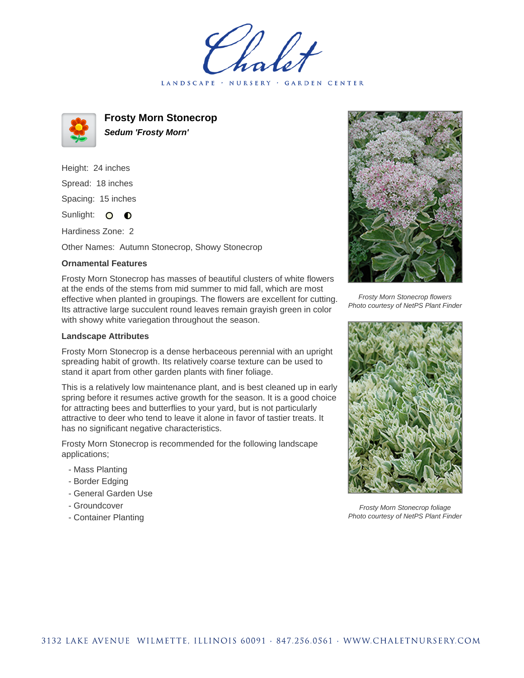holet LANDSCAPE · NURSERY · GARDEN CENTER



**Frosty Morn Stonecrop Sedum 'Frosty Morn'**

Height: 24 inches Spread: 18 inches Spacing: 15 inches Sunlight: O **O** 

Hardiness Zone: 2

Other Names: Autumn Stonecrop, Showy Stonecrop

## **Ornamental Features**

Frosty Morn Stonecrop has masses of beautiful clusters of white flowers at the ends of the stems from mid summer to mid fall, which are most effective when planted in groupings. The flowers are excellent for cutting. Its attractive large succulent round leaves remain grayish green in color with showy white variegation throughout the season.

## **Landscape Attributes**

Frosty Morn Stonecrop is a dense herbaceous perennial with an upright spreading habit of growth. Its relatively coarse texture can be used to stand it apart from other garden plants with finer foliage.

This is a relatively low maintenance plant, and is best cleaned up in early spring before it resumes active growth for the season. It is a good choice for attracting bees and butterflies to your yard, but is not particularly attractive to deer who tend to leave it alone in favor of tastier treats. It has no significant negative characteristics.

Frosty Morn Stonecrop is recommended for the following landscape applications;

- Mass Planting
- Border Edging
- General Garden Use
- Groundcover
- Container Planting



Frosty Morn Stonecrop flowers Photo courtesy of NetPS Plant Finder



Frosty Morn Stonecrop foliage Photo courtesy of NetPS Plant Finder